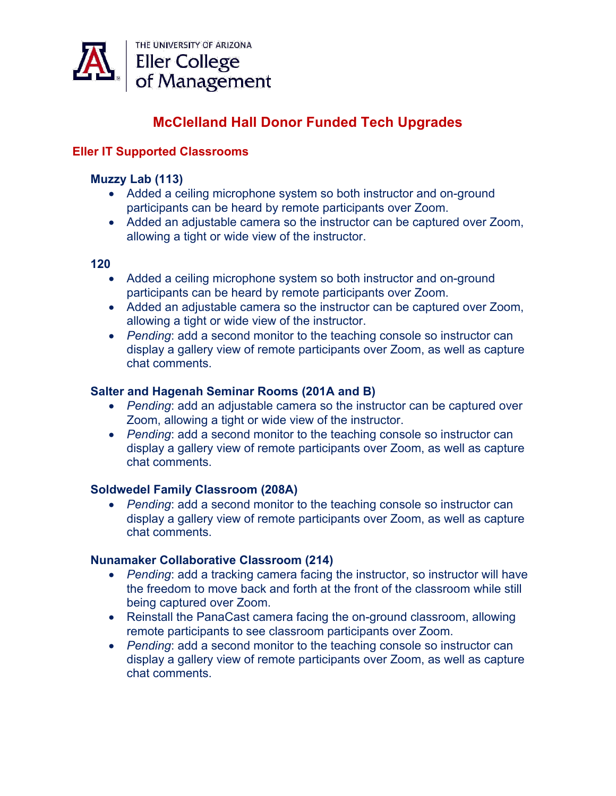

# **McClelland Hall Donor Funded Tech Upgrades**

# **Eller IT Supported Classrooms**

#### **Muzzy Lab (113)**

- Added a ceiling microphone system so both instructor and on-ground participants can be heard by remote participants over Zoom.
- Added an adjustable camera so the instructor can be captured over Zoom, allowing a tight or wide view of the instructor.

#### **120**

- Added a ceiling microphone system so both instructor and on-ground participants can be heard by remote participants over Zoom.
- Added an adjustable camera so the instructor can be captured over Zoom, allowing a tight or wide view of the instructor.
- *Pending*: add a second monitor to the teaching console so instructor can display a gallery view of remote participants over Zoom, as well as capture chat comments.

#### **Salter and Hagenah Seminar Rooms (201A and B)**

- *Pending*: add an adjustable camera so the instructor can be captured over Zoom, allowing a tight or wide view of the instructor.
- *Pending*: add a second monitor to the teaching console so instructor can display a gallery view of remote participants over Zoom, as well as capture chat comments.

## **Soldwedel Family Classroom (208A)**

• *Pending*: add a second monitor to the teaching console so instructor can display a gallery view of remote participants over Zoom, as well as capture chat comments.

#### **Nunamaker Collaborative Classroom (214)**

- *Pending*: add a tracking camera facing the instructor, so instructor will have the freedom to move back and forth at the front of the classroom while still being captured over Zoom.
- Reinstall the PanaCast camera facing the on-ground classroom, allowing remote participants to see classroom participants over Zoom.
- *Pending*: add a second monitor to the teaching console so instructor can display a gallery view of remote participants over Zoom, as well as capture chat comments.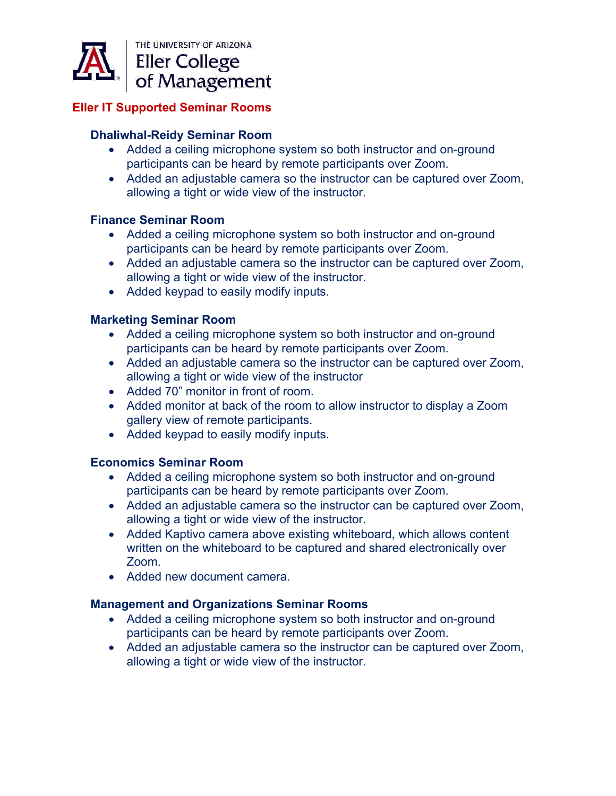

# **Eller IT Supported Seminar Rooms**

## **Dhaliwhal-Reidy Seminar Room**

- Added a ceiling microphone system so both instructor and on-ground participants can be heard by remote participants over Zoom.
- Added an adjustable camera so the instructor can be captured over Zoom, allowing a tight or wide view of the instructor.

#### **Finance Seminar Room**

- Added a ceiling microphone system so both instructor and on-ground participants can be heard by remote participants over Zoom.
- Added an adjustable camera so the instructor can be captured over Zoom, allowing a tight or wide view of the instructor.
- Added keypad to easily modify inputs.

## **Marketing Seminar Room**

- Added a ceiling microphone system so both instructor and on-ground participants can be heard by remote participants over Zoom.
- Added an adjustable camera so the instructor can be captured over Zoom, allowing a tight or wide view of the instructor
- Added 70" monitor in front of room.
- Added monitor at back of the room to allow instructor to display a Zoom gallery view of remote participants.
- Added keypad to easily modify inputs.

## **Economics Seminar Room**

- Added a ceiling microphone system so both instructor and on-ground participants can be heard by remote participants over Zoom.
- Added an adjustable camera so the instructor can be captured over Zoom, allowing a tight or wide view of the instructor.
- Added Kaptivo camera above existing whiteboard, which allows content written on the whiteboard to be captured and shared electronically over Zoom.
- Added new document camera.

## **Management and Organizations Seminar Rooms**

- Added a ceiling microphone system so both instructor and on-ground participants can be heard by remote participants over Zoom.
- Added an adjustable camera so the instructor can be captured over Zoom, allowing a tight or wide view of the instructor.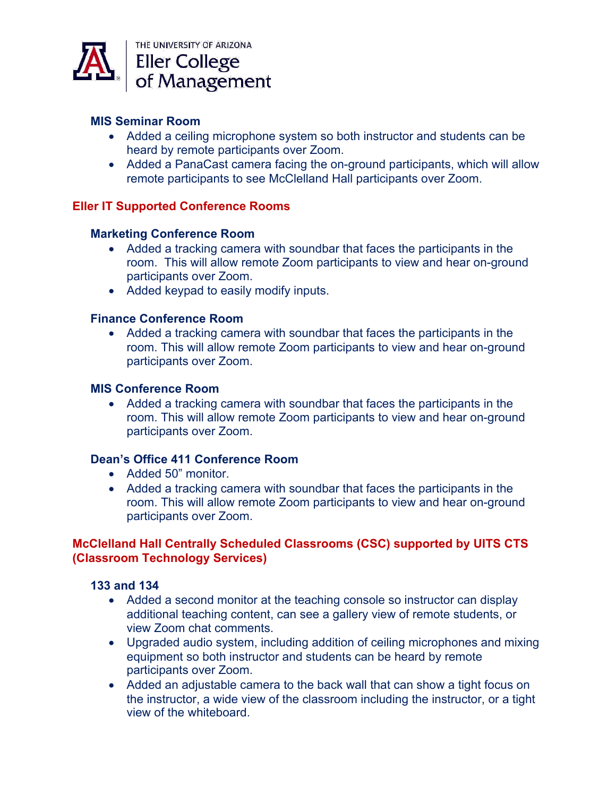

# **MIS Seminar Room**

- Added a ceiling microphone system so both instructor and students can be heard by remote participants over Zoom.
- Added a PanaCast camera facing the on-ground participants, which will allow remote participants to see McClelland Hall participants over Zoom.

## **Eller IT Supported Conference Rooms**

## **Marketing Conference Room**

- Added a tracking camera with soundbar that faces the participants in the room. This will allow remote Zoom participants to view and hear on-ground participants over Zoom.
- Added keypad to easily modify inputs.

## **Finance Conference Room**

• Added a tracking camera with soundbar that faces the participants in the room. This will allow remote Zoom participants to view and hear on-ground participants over Zoom.

#### **MIS Conference Room**

• Added a tracking camera with soundbar that faces the participants in the room. This will allow remote Zoom participants to view and hear on-ground participants over Zoom.

# **Dean's Office 411 Conference Room**

- Added 50" monitor.
- Added a tracking camera with soundbar that faces the participants in the room. This will allow remote Zoom participants to view and hear on-ground participants over Zoom.

# **McClelland Hall Centrally Scheduled Classrooms (CSC) supported by UITS CTS (Classroom Technology Services)**

#### **133 and 134**

- Added a second monitor at the teaching console so instructor can display additional teaching content, can see a gallery view of remote students, or view Zoom chat comments.
- Upgraded audio system, including addition of ceiling microphones and mixing equipment so both instructor and students can be heard by remote participants over Zoom.
- Added an adjustable camera to the back wall that can show a tight focus on the instructor, a wide view of the classroom including the instructor, or a tight view of the whiteboard.